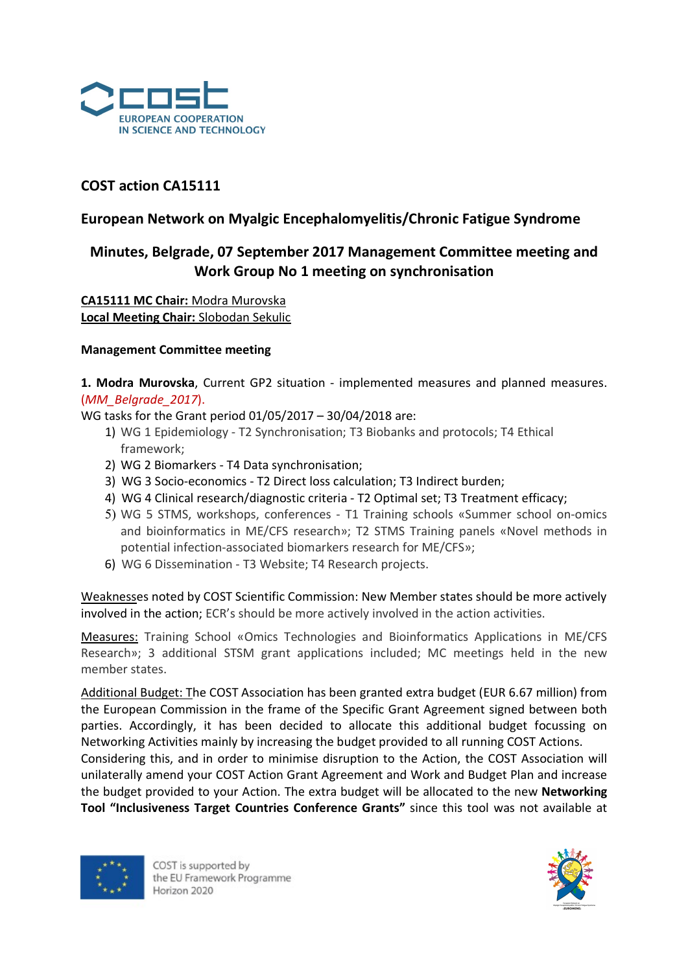

# COST action CA15111

## European Network on Myalgic Encephalomyelitis/Chronic Fatigue Syndrome

# Minutes, Belgrade, 07 September 2017 Management Committee meeting and Work Group No 1 meeting on synchronisation

CA15111 MC Chair: Modra Murovska Local Meeting Chair: Slobodan Sekulic

## Management Committee meeting

1. Modra Murovska, Current GP2 situation - implemented measures and planned measures. (MM\_Belgrade\_2017).

WG tasks for the Grant period 01/05/2017 – 30/04/2018 are:

- 1) WG 1 Epidemiology T2 Synchronisation; T3 Biobanks and protocols; T4 Ethical framework;
- 2) WG 2 Biomarkers T4 Data synchronisation;
- 3) WG 3 Socio-economics T2 Direct loss calculation; T3 Indirect burden;
- 4) WG 4 Clinical research/diagnostic criteria T2 Optimal set; T3 Treatment efficacy;
- 5) WG 5 STMS, workshops, conferences T1 Training schools «Summer school on-omics and bioinformatics in ME/CFS research»; T2 STMS Training panels «Novel methods in potential infection-associated biomarkers research for ME/CFS»;
- 6) WG 6 Dissemination T3 Website; T4 Research projects.

Weaknesses noted by COST Scientific Commission: New Member states should be more actively involved in the action; ECR's should be more actively involved in the action activities.

Measures: Training School «Omics Technologies and Bioinformatics Applications in ME/CFS Research»; 3 additional STSM grant applications included; MC meetings held in the new member states.

Additional Budget: The COST Association has been granted extra budget (EUR 6.67 million) from the European Commission in the frame of the Specific Grant Agreement signed between both parties. Accordingly, it has been decided to allocate this additional budget focussing on Networking Activities mainly by increasing the budget provided to all running COST Actions.

Considering this, and in order to minimise disruption to the Action, the COST Association will unilaterally amend your COST Action Grant Agreement and Work and Budget Plan and increase the budget provided to your Action. The extra budget will be allocated to the new Networking Tool "Inclusiveness Target Countries Conference Grants" since this tool was not available at



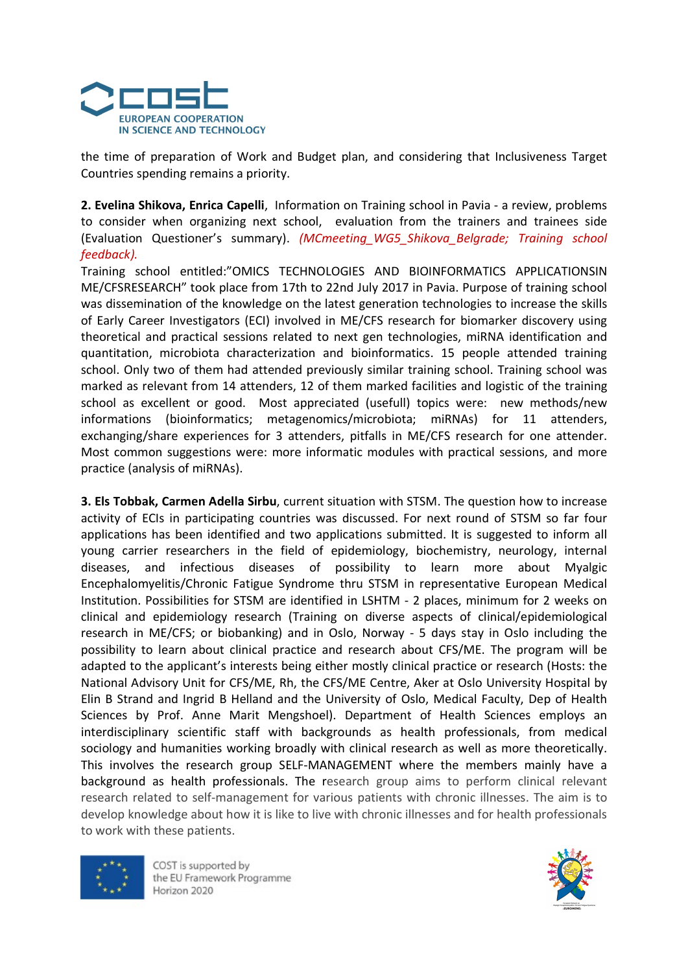

the time of preparation of Work and Budget plan, and considering that Inclusiveness Target Countries spending remains a priority.

2. Evelina Shikova, Enrica Capelli, Information on Training school in Pavia - a review, problems to consider when organizing next school, evaluation from the trainers and trainees side (Evaluation Questioner's summary). (MCmeeting WG5 Shikova Belgrade; Training school feedback).

Training school entitled:"OMICS TECHNOLOGIES AND BIOINFORMATICS APPLICATIONSIN ME/CFSRESEARCH" took place from 17th to 22nd July 2017 in Pavia. Purpose of training school was dissemination of the knowledge on the latest generation technologies to increase the skills of Early Career Investigators (ECI) involved in ME/CFS research for biomarker discovery using theoretical and practical sessions related to next gen technologies, miRNA identification and quantitation, microbiota characterization and bioinformatics. 15 people attended training school. Only two of them had attended previously similar training school. Training school was marked as relevant from 14 attenders, 12 of them marked facilities and logistic of the training school as excellent or good. Most appreciated (usefull) topics were: new methods/new informations (bioinformatics; metagenomics/microbiota; miRNAs) for 11 attenders, exchanging/share experiences for 3 attenders, pitfalls in ME/CFS research for one attender. Most common suggestions were: more informatic modules with practical sessions, and more practice (analysis of miRNAs).

3. Els Tobbak, Carmen Adella Sirbu, current situation with STSM. The question how to increase activity of ECIs in participating countries was discussed. For next round of STSM so far four applications has been identified and two applications submitted. It is suggested to inform all young carrier researchers in the field of epidemiology, biochemistry, neurology, internal diseases, and infectious diseases of possibility to learn more about Myalgic Encephalomyelitis/Chronic Fatigue Syndrome thru STSM in representative European Medical Institution. Possibilities for STSM are identified in LSHTM - 2 places, minimum for 2 weeks on clinical and epidemiology research (Training on diverse aspects of clinical/epidemiological research in ME/CFS; or biobanking) and in Oslo, Norway - 5 days stay in Oslo including the possibility to learn about clinical practice and research about CFS/ME. The program will be adapted to the applicant's interests being either mostly clinical practice or research (Hosts: the National Advisory Unit for CFS/ME, Rh, the CFS/ME Centre, Aker at Oslo University Hospital by Elin B Strand and Ingrid B Helland and the University of Oslo, Medical Faculty, Dep of Health Sciences by Prof. Anne Marit Mengshoel). Department of Health Sciences employs an interdisciplinary scientific staff with backgrounds as health professionals, from medical sociology and humanities working broadly with clinical research as well as more theoretically. This involves the research group SELF-MANAGEMENT where the members mainly have a background as health professionals. The research group aims to perform clinical relevant research related to self-management for various patients with chronic illnesses. The aim is to develop knowledge about how it is like to live with chronic illnesses and for health professionals to work with these patients.



COST is supported by the EU Framework Programme Horizon 2020

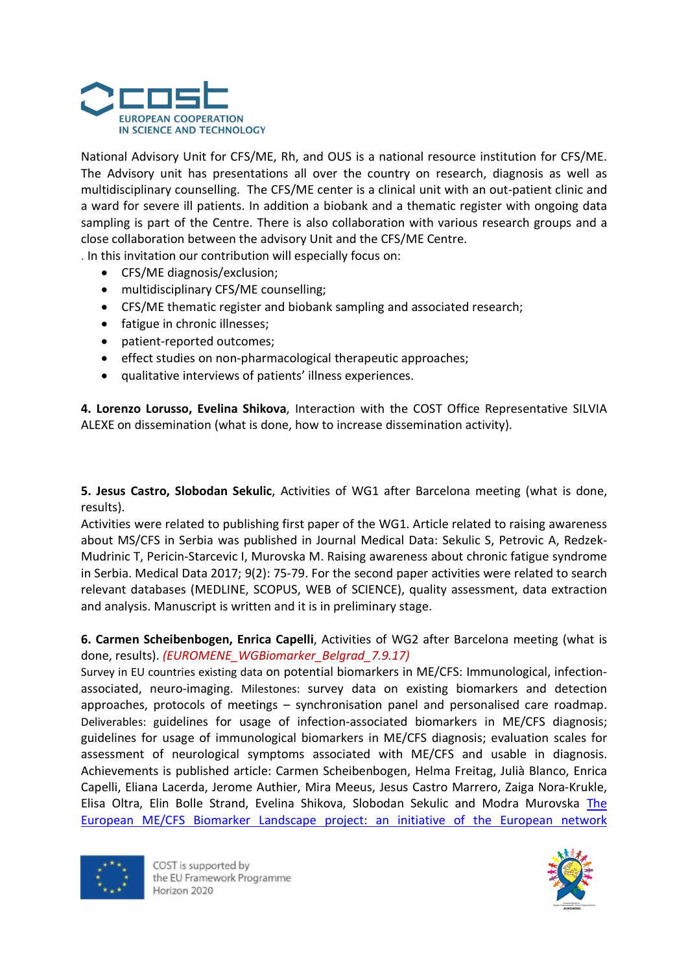

National Advisory Unit for CFS/ME, Rh, and OUS is a national resource institution for CFS/ME. The Advisory unit has presentations all over the country on research, diagnosis as well as multidisciplinary counselling. The CFS/ME center is a clinical unit with an out-patient clinic and a ward for severe ill patients. In addition a biobank and a thematic register with ongoing data sampling is part of the Centre. There is also collaboration with various research groups and a close collaboration between the advisory Unit and the CFS/ME Centre.

. In this invitation our contribution will especially focus on:

- CFS/ME diagnosis/exclusion;
- multidisciplinary CFS/ME counselling;
- CFS/ME thematic register and biobank sampling and associated research;
- fatigue in chronic illnesses;
- patient-reported outcomes;
- effect studies on non-pharmacological therapeutic approaches;
- qualitative interviews of patients' illness experiences.

4. Lorenzo Lorusso, Evelina Shikova, Interaction with the COST Office Representative SILVIA ALEXE on dissemination (what is done, how to increase dissemination activity).

5. Jesus Castro, Slobodan Sekulic, Activities of WG1 after Barcelona meeting (what is done, results).

Activities were related to publishing first paper of the WG1. Article related to raising awareness about MS/CFS in Serbia was published in Journal Medical Data: Sekulic S, Petrovic A, Redzek-Mudrinic T, Pericin-Starcevic I, Murovska M. Raising awareness about chronic fatigue syndrome in Serbia. Medical Data 2017; 9(2): 75-79. For the second paper activities were related to search relevant databases (MEDLINE, SCOPUS, WEB of SCIENCE), quality assessment, data extraction and analysis. Manuscript is written and it is in preliminary stage.

6. Carmen Scheibenbogen, Enrica Capelli, Activities of WG2 after Barcelona meeting (what is done, results). (EUROMENE\_WGBiomarker\_Belgrad\_7.9.17)

Survey in EU countries existing data on potential biomarkers in ME/CFS: Immunological, infectionassociated, neuro-imaging. Milestones: survey data on existing biomarkers and detection approaches, protocols of meetings – synchronisation panel and personalised care roadmap. Deliverables: guidelines for usage of infection-associated biomarkers in ME/CFS diagnosis; guidelines for usage of immunological biomarkers in ME/CFS diagnosis; evaluation scales for assessment of neurological symptoms associated with ME/CFS and usable in diagnosis. Achievements is published article: Carmen Scheibenbogen, Helma Freitag, Julià Blanco, Enrica Capelli, Eliana Lacerda, Jerome Authier, Mira Meeus, Jesus Castro Marrero, Zaiga Nora-Krukle, Elisa Oltra, Elin Bolle Strand, Evelina Shikova, Slobodan Sekulic and Modra Murovska The European ME/CFS Biomarker Landscape project: an initiative of the European network



COST is supported by the EU Framework Programme Horizon 2020

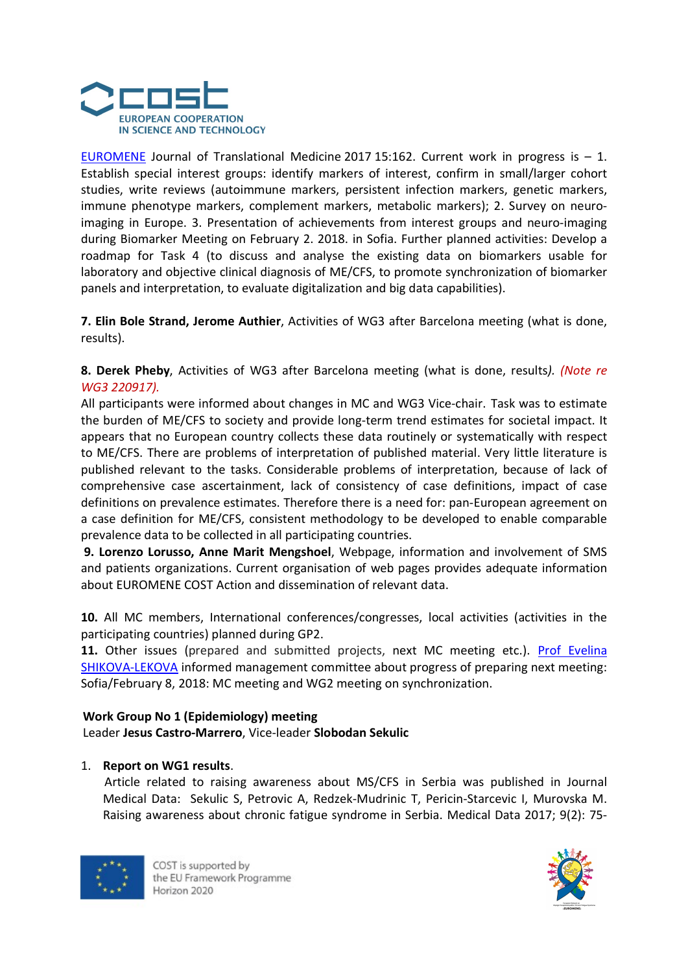

EUROMENE Journal of Translational Medicine 2017 15:162. Current work in progress is  $-1$ . Establish special interest groups: identify markers of interest, confirm in small/larger cohort studies, write reviews (autoimmune markers, persistent infection markers, genetic markers, immune phenotype markers, complement markers, metabolic markers); 2. Survey on neuroimaging in Europe. 3. Presentation of achievements from interest groups and neuro-imaging during Biomarker Meeting on February 2. 2018. in Sofia. Further planned activities: Develop a roadmap for Task 4 (to discuss and analyse the existing data on biomarkers usable for laboratory and objective clinical diagnosis of ME/CFS, to promote synchronization of biomarker panels and interpretation, to evaluate digitalization and big data capabilities).

7. Elin Bole Strand, Jerome Authier, Activities of WG3 after Barcelona meeting (what is done, results).

8. Derek Pheby, Activities of WG3 after Barcelona meeting (what is done, results). (Note re WG3 220917).

All participants were informed about changes in MC and WG3 Vice-chair. Task was to estimate the burden of ME/CFS to society and provide long-term trend estimates for societal impact. It appears that no European country collects these data routinely or systematically with respect to ME/CFS. There are problems of interpretation of published material. Very little literature is published relevant to the tasks. Considerable problems of interpretation, because of lack of comprehensive case ascertainment, lack of consistency of case definitions, impact of case definitions on prevalence estimates. Therefore there is a need for: pan-European agreement on a case definition for ME/CFS, consistent methodology to be developed to enable comparable prevalence data to be collected in all participating countries.

9. Lorenzo Lorusso, Anne Marit Mengshoel, Webpage, information and involvement of SMS and patients organizations. Current organisation of web pages provides adequate information about EUROMENE COST Action and dissemination of relevant data.

10. All MC members, International conferences/congresses, local activities (activities in the participating countries) planned during GP2.

11. Other issues (prepared and submitted projects, next MC meeting etc.). Prof Evelina SHIKOVA-LEKOVA informed management committee about progress of preparing next meeting: Sofia/February 8, 2018: MC meeting and WG2 meeting on synchronization.

#### Work Group No 1 (Epidemiology) meeting

Leader Jesus Castro-Marrero, Vice-leader Slobodan Sekulic

#### 1. Report on WG1 results.

Article related to raising awareness about MS/CFS in Serbia was published in Journal Medical Data: Sekulic S, Petrovic A, Redzek-Mudrinic T, Pericin-Starcevic I, Murovska M. Raising awareness about chronic fatigue syndrome in Serbia. Medical Data 2017; 9(2): 75-



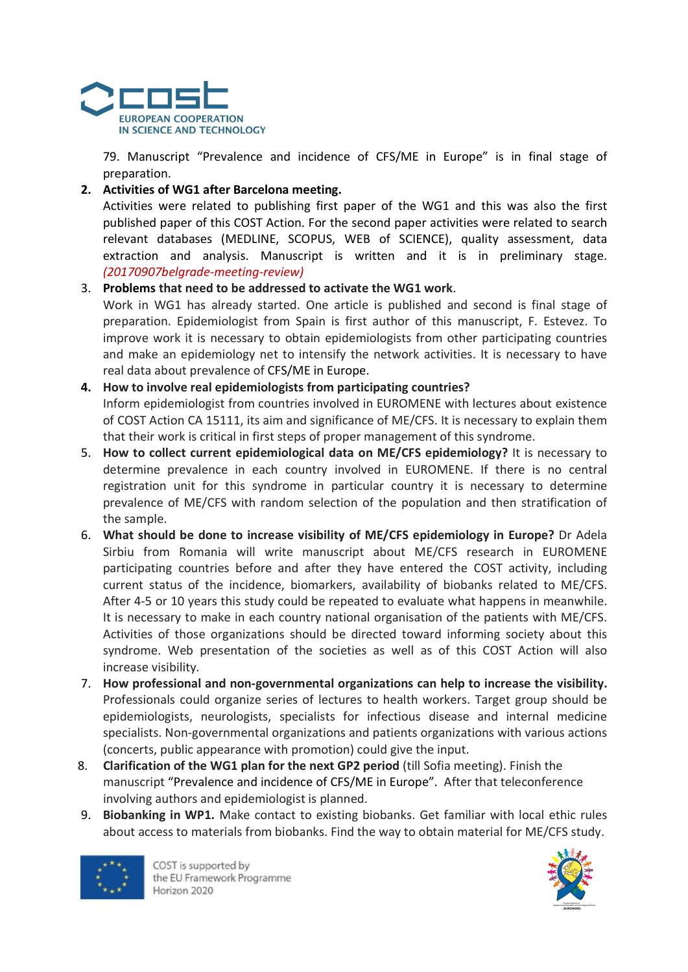

79. Manuscript "Prevalence and incidence of CFS/ME in Europe" is in final stage of preparation.

## 2. Activities of WG1 after Barcelona meeting.

Activities were related to publishing first paper of the WG1 and this was also the first published paper of this COST Action. For the second paper activities were related to search relevant databases (MEDLINE, SCOPUS, WEB of SCIENCE), quality assessment, data extraction and analysis. Manuscript is written and it is in preliminary stage. (20170907belgrade-meeting-review)

## 3. Problems that need to be addressed to activate the WG1 work.

Work in WG1 has already started. One article is published and second is final stage of preparation. Epidemiologist from Spain is first author of this manuscript, F. Estevez. To improve work it is necessary to obtain epidemiologists from other participating countries and make an epidemiology net to intensify the network activities. It is necessary to have real data about prevalence of CFS/ME in Europe.

## 4. How to involve real epidemiologists from participating countries?

Inform epidemiologist from countries involved in EUROMENE with lectures about existence of COST Action CA 15111, its aim and significance of ME/CFS. It is necessary to explain them that their work is critical in first steps of proper management of this syndrome.

- 5. How to collect current epidemiological data on ME/CFS epidemiology? It is necessary to determine prevalence in each country involved in EUROMENE. If there is no central registration unit for this syndrome in particular country it is necessary to determine prevalence of ME/CFS with random selection of the population and then stratification of the sample.
- 6. What should be done to increase visibility of ME/CFS epidemiology in Europe? Dr Adela Sirbiu from Romania will write manuscript about ME/CFS research in EUROMENE participating countries before and after they have entered the COST activity, including current status of the incidence, biomarkers, availability of biobanks related to ME/CFS. After 4-5 or 10 years this study could be repeated to evaluate what happens in meanwhile. It is necessary to make in each country national organisation of the patients with ME/CFS. Activities of those organizations should be directed toward informing society about this syndrome. Web presentation of the societies as well as of this COST Action will also increase visibility.
- 7. How professional and non-governmental organizations can help to increase the visibility. Professionals could organize series of lectures to health workers. Target group should be epidemiologists, neurologists, specialists for infectious disease and internal medicine specialists. Non-governmental organizations and patients organizations with various actions (concerts, public appearance with promotion) could give the input.
- 8. Clarification of the WG1 plan for the next GP2 period (till Sofia meeting). Finish the manuscript "Prevalence and incidence of CFS/ME in Europe". After that teleconference involving authors and epidemiologist is planned.
- 9. Biobanking in WP1. Make contact to existing biobanks. Get familiar with local ethic rules about access to materials from biobanks. Find the way to obtain material for ME/CFS study.



COST is supported by the EU Framework Programme Horizon 2020